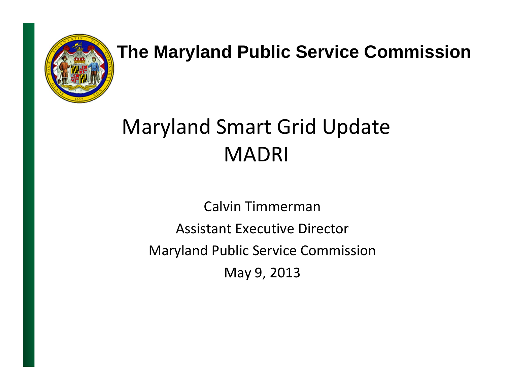

#### **The Maryland Public Service Commission**

#### Maryland Smart Grid Update MADRI

Calvin Timmerman Assistant Executive Director Maryland Public Service Commission May 9, 2013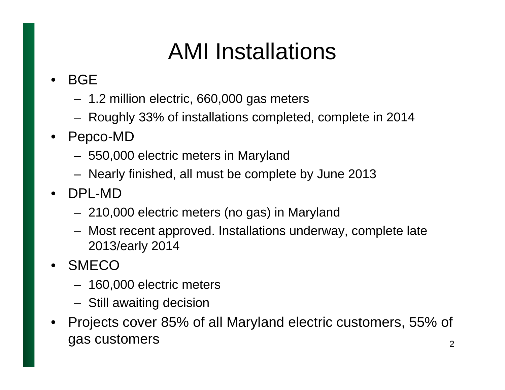# AMI Installations

#### •BGE

- –1.2 million electric, 660,000 gas meters
- –Roughly 33% of installations completed, complete in 2014
- • Pepco-MD
	- –550,000 electric meters in Maryland
	- –Nearly finished, all must be complete by June 2013
- • DPL-MD
	- –210,000 electric meters (no gas) in Maryland
	- – Most recent approved. Installations underway, complete late 2013/early 2014
- •**SMECO** 
	- 160,000 electric meters
	- –Still awaiting decision
- • Projects cover 85% of all Maryland electric customers, 55% of gas customers and  $\frac{1}{2}$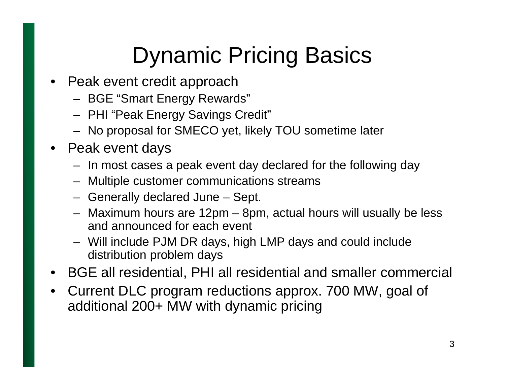# Dynamic Pricing Basics

- Peak event credit approach
	- –BGE "Smart Energy Rewards"
	- –PHI "Peak Energy Savings Credit"
	- –No proposal for SMECO yet, likely TOU sometime later
- Peak event days
	- In most cases a peak event day declared for the following day
	- Multiple customer communications streams
	- –Generally declared June – Sept.
	- Maximum hours are 12pm 8pm, actual hours will usually be less and announced for each event
	- Will include PJM DR days, high LMP days and could include distribution problem days
- BGE all residential, PHI all residential and smaller commercial
- • Current DLC program reductions approx. 700 MW, goal of additional 200+ MW with dynamic pricing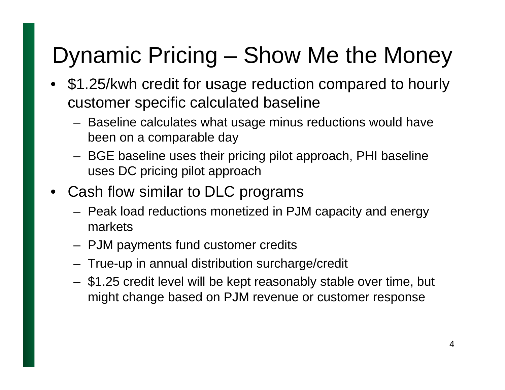### Dynamic Pricing – Show Me the Money

- \$1.25/kwh credit for usage reduction compared to hourly customer specific calculated baseline
	- Baseline calculates what usage minus reductions would have been on a comparable day
	- BGE baseline uses their pricing pilot approach, PHI baseline uses DC pricing pilot approach
- • Cash flow similar to DLC programs
	- Peak load reductions monetized in PJM capacity and energy markets
	- PJM payments fund customer credits
	- True-up in annual distribution surcharge/credit
	- \$1.25 credit level will be kept reasonably stable over time, but might change based on PJM revenue or customer response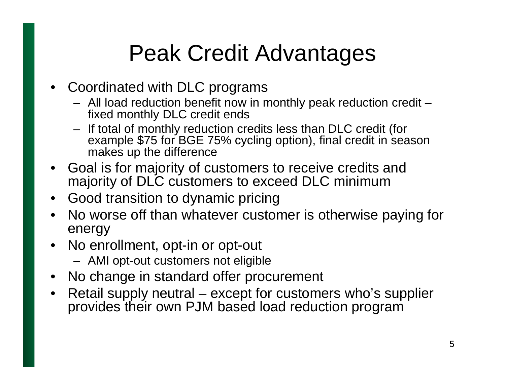### Peak Credit Advantages

- • Coordinated with DLC programs
	- All load reduction benefit now in monthly peak reduction credit fixed monthly DLC credit ends
	- If total of monthly reduction credits less than DLC credit (for example \$75 for BGE 75% cycling option), final credit in season makes up the difference
- • Goal is for majority of customers to receive credits and majority of DLC customers to exceed DLC minimum
- $\bullet$ Good transition to dynamic pricing
- • No worse off than whatever customer is otherwise paying for energy
- No enrollment, opt-in or opt-out
	- AMI opt-out customers not eligible
- No change in standard offer procurement
- $\bullet$  Retail supply neutral – except for customers who's supplier provides their own PJM based load reduction program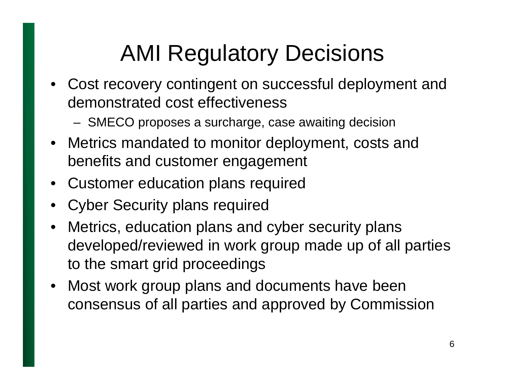# AMI Regulatory Decisions

- Cost recovery contingent on successful deployment and demonstrated cost effectiveness
	- SMECO proposes a surcharge, case awaiting decision
- Metrics mandated to monitor deployment, costs and benefits and customer engagement
- Customer education plans required
- •Cyber Security plans required
- • Metrics, education plans and cyber security plans developed/reviewed in work group made up of all parties to the smart grid proceedings
- $\bullet$  Most work group plans and documents have been consensus of all parties and approved by Commission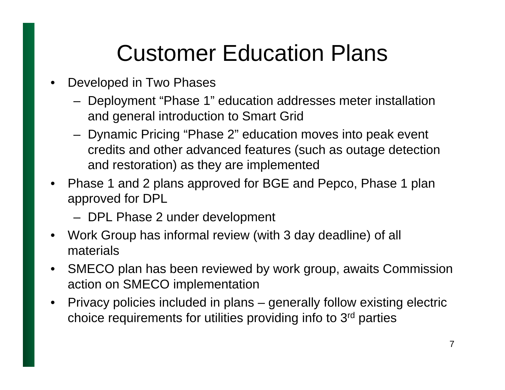## Customer Education Plans

- • Developed in Two Phases
	- Deployment "Phase 1" education addresses meter installation and general introduction to Smart Grid
	- Dynamic Pricing "Phase 2" education moves into peak event credits and other advanced features (such as outage detection and restoration) as they are implemented
- • Phase 1 and 2 plans approved for BGE and Pepco, Phase 1 plan approved for DPL
	- DPL Phase 2 under development
- $\bullet$  Work Group has informal review (with 3 day deadline) of all materials
- $\bullet$  SMECO plan has been reviewed by work group, awaits Commission action on SMECO implementation
- $\bullet$  Privacy policies included in plans – generally follow existing electric choice requirements for utilities providing info to 3rd parties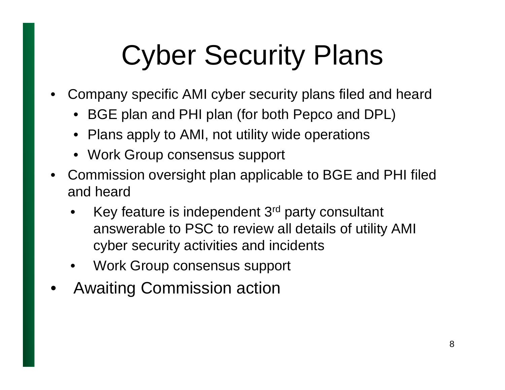# Cyber Security Plans

- • Company specific AMI cyber security plans filed and heard
	- BGE plan and PHI plan (for both Pepco and DPL)
	- Plans apply to AMI, not utility wide operations
	- Work Group consensus support
- Commission oversight plan applicable to BGE and PHI filed and heard
	- • Key feature is independent 3rd party consultant answerable to PSC to review all details of utility AMI cyber security activities and incidents
	- •Work Group consensus support
- •Awaiting Commission action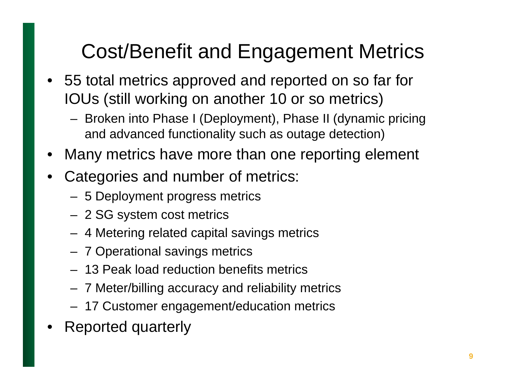#### Cost/Benefit and Engagement Metrics

- 55 total metrics approved and reported on so far for IOUs (still working on another 10 or so metrics)
	- Broken into Phase I (Deployment), Phase II (dynamic pricing and advanced functionality such as outage detection)
- •Many metrics have more than one reporting element
- • Categories and number of metrics:
	- 5 Deployment progress metrics
	- 2 SG system cost metrics
	- 4 Metering related capital savings metrics
	- 7 Operational savings metrics
	- 13 Peak load reduction benefits metrics
	- 7 Meter/billing accuracy and reliability metrics
	- 17 Customer engagement/education metrics
- •Reported quarterly